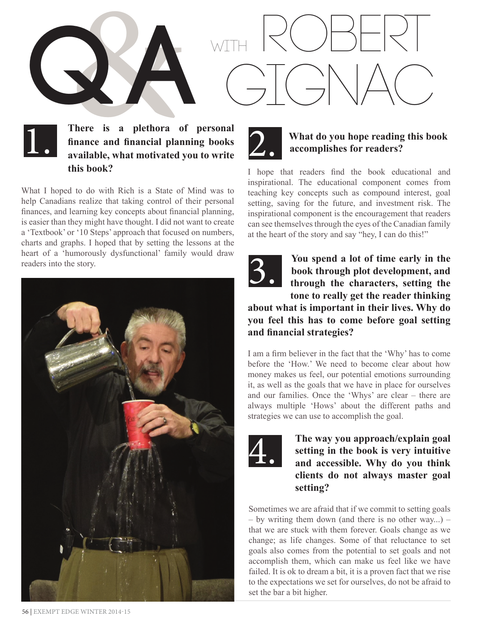

#### There is a plethora of personal<br>finance and financial planning books<br>available, what motivated you to write **There is a plethora of personal finance and financial planning books available, what motivated you to write this book?**

What I hoped to do with Rich is a State of Mind was to help Canadians realize that taking control of their personal finances, and learning key concepts about financial planning, is easier than they might have thought. I did not want to create a 'Textbook' or '10 Steps' approach that focused on numbers, charts and graphs. I hoped that by setting the lessons at the heart of a 'humorously dysfunctional' family would draw readers into the story.





#### **What do you hope reading this book accomplishes for readers?**

I hope that readers find the book educational and inspirational. The educational component comes from teaching key concepts such as compound interest, goal setting, saving for the future, and investment risk. The inspirational component is the encouragement that readers can see themselves through the eyes of the Canadian family at the heart of the story and say "hey, I can do this!"



**You spend a lot of time early in the book through plot development, and through the characters, setting the tone to really get the reader thinking** 

**about what is important in their lives. Why do you feel this has to come before goal setting and financial strategies?**

I am a firm believer in the fact that the 'Why' has to come before the 'How.' We need to become clear about how money makes us feel, our potential emotions surrounding it, as well as the goals that we have in place for ourselves and our families. Once the 'Whys' are clear – there are always multiple 'Hows' about the different paths and strategies we can use to accomplish the goal.



**The way you approach/explain goal setting in the book is very intuitive and accessible. Why do you think clients do not always master goal setting?**

Sometimes we are afraid that if we commit to setting goals – by writing them down (and there is no other way...) – that we are stuck with them forever. Goals change as we change; as life changes. Some of that reluctance to set goals also comes from the potential to set goals and not accomplish them, which can make us feel like we have failed. It is ok to dream a bit, it is a proven fact that we rise to the expectations we set for ourselves, do not be afraid to set the bar a bit higher.

56 | EXEMPT EDGE WINTER 2014-15